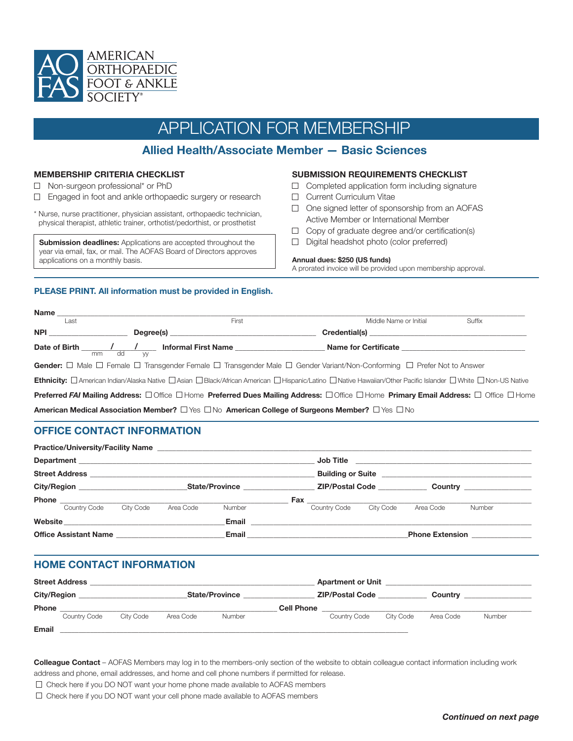

# APPLICATION FOR MEMBERSHIP

## **Allied Health/Associate Member — Basic Sciences**

### **MEMBERSHIP CRITERIA CHECKLIST**

- □ Non-surgeon professional\* or PhD
- $\Box$  Engaged in foot and ankle orthopaedic surgery or research
- \* Nurse, nurse practitioner, physician assistant, orthopaedic technician, physical therapist, athletic trainer, orthotist/pedorthist, or prosthetist

**Submission deadlines:** Applications are accepted throughout the year via email, fax, or mail. The AOFAS Board of Directors approves applications on a monthly basis.

### **SUBMISSION REQUIREMENTS CHECKLIST**

- $\Box$  Completed application form including signature
- **Current Curriculum Vitae**
- $\Box$  One signed letter of sponsorship from an AOFAS Active Member or International Member
- $\Box$  Copy of graduate degree and/or certification(s)
- Digital headshot photo (color preferred)

#### **Annual dues: \$250 (US funds)**

A prorated invoice will be provided upon membership approval.

### **PLEASE PRINT. All information must be provided in English.**

| Name $\_\_\_\$                                                                                                         |                                                                                                                                                                                          |                                                 |        |  |  |  |  |
|------------------------------------------------------------------------------------------------------------------------|------------------------------------------------------------------------------------------------------------------------------------------------------------------------------------------|-------------------------------------------------|--------|--|--|--|--|
| Last                                                                                                                   | First                                                                                                                                                                                    | Middle Name or Initial                          | Suffix |  |  |  |  |
| <b>NPI <i>NPI</i></b>                                                                                                  |                                                                                                                                                                                          |                                                 |        |  |  |  |  |
|                                                                                                                        | Date of Birth $\frac{1}{2}$ $\frac{1}{2}$ Informal First Name $\frac{1}{2}$                                                                                                              | Name for Certificate <b>Name of Certificate</b> |        |  |  |  |  |
| Gender: □ Male □ Female □ Transgender Female □ Transgender Male □ Gender Variant/Non-Conforming □ Prefer Not to Answer |                                                                                                                                                                                          |                                                 |        |  |  |  |  |
|                                                                                                                        | Ethnicity: <b>Damerican Indian/Alaska Native Dasian D Black/African American D Hispanic/Latino D Native Hawaiian/Other Pacific Islander D White D Non-US Native</b>                      |                                                 |        |  |  |  |  |
|                                                                                                                        | <b>Preferred FAI Mailing Address:</b> $\Box$ Office $\Box$ Home <b>Preferred Dues Mailing Address:</b> $\Box$ Office $\Box$ Home <b>Primary Email Address:</b> $\Box$ Office $\Box$ Home |                                                 |        |  |  |  |  |
|                                                                                                                        | American Medical Association Member? $\Box$ Yes $\Box$ No American College of Surgeons Member? $\Box$ Yes $\Box$ No                                                                      |                                                 |        |  |  |  |  |

### **OFFICE CONTACT INFORMATION**

| <b>Practice/University/Facility Name</b>           |  |                |           | <u> 1989 - Johann John Stein, mars an deutscher Stein († 1958)</u> |                 |              |                        |                                  |        |
|----------------------------------------------------|--|----------------|-----------|--------------------------------------------------------------------|-----------------|--------------|------------------------|----------------------------------|--------|
|                                                    |  |                |           |                                                                    |                 |              |                        |                                  |        |
|                                                    |  |                |           |                                                                    |                 |              |                        |                                  |        |
| City/Region <b>Community</b> City <b>Community</b> |  | State/Province |           |                                                                    | ZIP/Postal Code |              |                        | Country <u>_________________</u> |        |
|                                                    |  |                |           |                                                                    |                 |              |                        |                                  |        |
| Country Code                                       |  | City Code      | Area Code | Number                                                             |                 | Country Code | City Code              | Area Code                        | Number |
| Website ___________________________________        |  |                |           | Email                                                              |                 |              |                        |                                  |        |
| Email<br>Office Assistant Name                     |  |                |           |                                                                    |                 |              | <b>Phone Extension</b> |                                  |        |

### **HOME CONTACT INFORMATION**

| <b>Street Address</b> |              |           |           |                       | <b>Apartment or Unit</b> |                        |           |           |        |
|-----------------------|--------------|-----------|-----------|-----------------------|--------------------------|------------------------|-----------|-----------|--------|
| <b>City/Region</b>    |              |           |           | <b>State/Province</b> |                          | <b>ZIP/Postal Code</b> |           | Country   |        |
| <b>Phone</b>          |              |           |           |                       | <b>Cell Phone</b>        |                        |           |           |        |
|                       | Country Code | City Code | Area Code | <b>Number</b>         |                          | Country Code           | City Code | Area Code | Number |
| Email                 |              |           |           |                       |                          |                        |           |           |        |

**Colleague Contact** – AOFAS Members may log in to the members-only section of the website to obtain colleague contact information including work address and phone, email addresses, and home and cell phone numbers if permitted for release.

- $\Box$  Check here if you DO NOT want your home phone made available to AOFAS members
- $\Box$  Check here if you DO NOT want your cell phone made available to AOFAS members